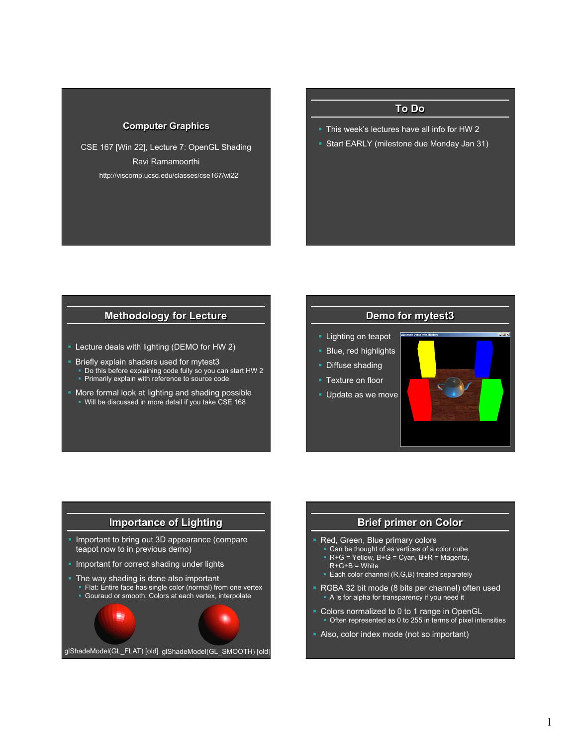#### **Computer Graphics**

CSE 167 [Win 22], Lecture 7: OpenGL Shading Ravi Ramamoorthi http://viscomp.ucsd.edu/classes/cse167/wi22

## **To Do**

- § This week's lectures have all info for HW 2
- § Start EARLY (milestone due Monday Jan 31)

#### **Methodology for Lecture**

- Lecture deals with lighting (DEMO for HW 2)
- **Briefly explain shaders used for mytest3**
- § Do this before explaining code fully so you can start HW 2 **• Primarily explain with reference to source code**
- § More formal look at lighting and shading possible § Will be discussed in more detail if you take CSE 168

#### **Demo for mytest3**

- **Example 1** Lighting on teapot
- **Blue, red highlights**
- Diffuse shading
- Texture on floor
- § Update as we move



## **Importance of Lighting**  ■ Important to bring out 3D appearance (compare teapot now to in previous demo) **• Important for correct shading under lights • The way shading is done also important** Flat: Entire face has single color (normal) from one vertex § Gouraud or smooth: Colors at each vertex, interpolate glShadeModel(GL\_FLAT) [old] glShadeModel(GL\_SMOOTH) [old]

#### **Brief primer on Color**

- § Red, Green, Blue primary colors
	- § Can be thought of as vertices of a color cube  $R+G =$  Yellow, B+G = Cyan, B+R = Magenta,
	- $R+G+B =$  White ■ Each color channel (R,G,B) treated separately
	-
- § RGBA 32 bit mode (8 bits per channel) often used § A is for alpha for transparency if you need it
- Colors normalized to 0 to 1 range in OpenGL § Often represented as 0 to 255 in terms of pixel intensities
- Also, color index mode (not so important)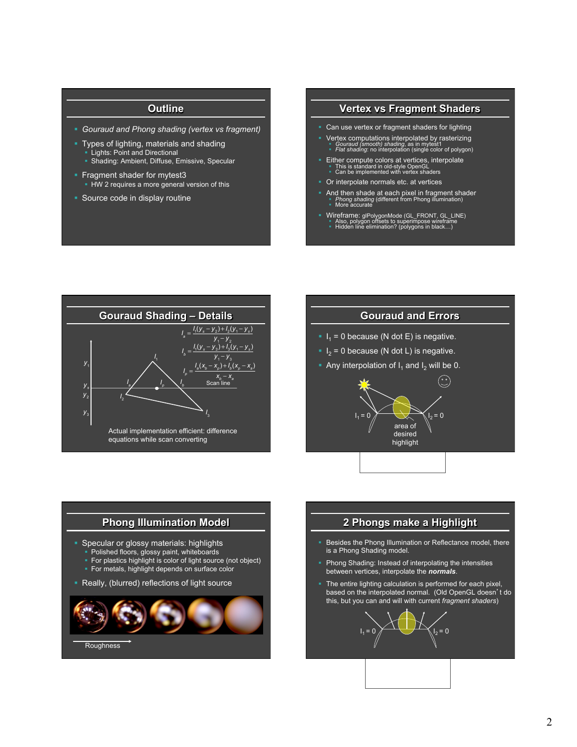### **Outline**

- § *Gouraud and Phong shading (vertex vs fragment)*
- § Types of lighting, materials and shading **• Lights: Point and Directional** 
	- § Shading: Ambient, Diffuse, Emissive, Specular
- § Fragment shader for mytest3 **HW** 2 requires a more general version of this
- Source code in display routine

#### **Vertex vs Fragment Shaders**

- Can use vertex or fragment shaders for lighting
- Vertex computations interpolated by rasterizing<br>■ *Gouraud (smooth) shading*, as in mytest1<br>■ *Flat shading*: no interpolation (single color of polygon)
- Either compute colors at vertices, interpolate<br>■ This is standard in old-style OpenGL<br>■ Can be implemented with vertex shaders
- § Or interpolate normals etc. at vertices
- And then shade at each pixel in fragment shader<br>
 *Phong shading* (different from Phong illumination)<br>
 More accurate
- 
- Wireframe: glPolygonMode (GL\_FRONT, GL\_LINE)<br>■ Also, polygon offsets to superimpose wireframe<br>■ Hidden line elimination? (polygons in black…)



#### **Gouraud and Errors**

- $I_1 = 0$  because (N dot E) is negative.
- $I<sub>2</sub> = 0$  because (N dot L) is negative.
- Any interpolation of  $I_1$  and  $I_2$  will be 0.



# **Phong Illumination Model**  § Specular or glossy materials: highlights • Polished floors, glossy paint, whiteboards § For plastics highlight is color of light source (not object) § For metals, highlight depends on surface color ■ Really, (blurred) reflections of light source **Roughness**

#### **2 Phongs make a Highlight**

- Besides the Phong Illumination or Reflectance model, there is a Phong Shading model.
- Phong Shading: Instead of interpolating the intensities between vertices, interpolate the *normals*.
- The entire lighting calculation is performed for each pixel, based on the interpolated normal. (Old OpenGL doesn't do this, but you can and will with current *fragment shaders*)

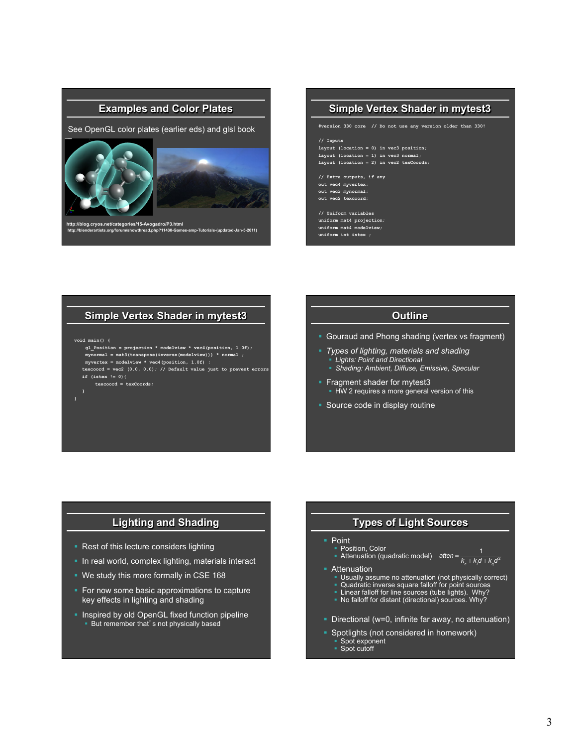#### **Examples and Color Plates**

See OpenGL color plates (earlier eds) and glsl book



**http://blog.cryos.net/categories/15-Avogadro/P3.html http://blenderartists.org/forum/showthread.php?11430-Games-amp-Tutorials-(updated-Jan-5-2011)** 

#### **Simple Vertex Shader in mytest3**

**#version 330 core // Do not use any version older than 330!** 

#### **// Inputs**

**layout (location = 0) in vec3 position; layout (location = 1) in vec3 normal; layout (location = 2) in vec2 texCoords;** 

**// Extra outputs, if any out vec4 myvertex; out vec3 mynormal; out vec2 texcoord;** 

**// Uniform variables uniform mat4 projection; uniform mat4 modelview; uniform int istex ;** 

#### **Simple Vertex Shader in mytest3**

**void main() {** 

**}** 

- **gl\_Position = projection \* modelview \* vec4(position, 1.0f); mynormal = mat3(transpose(inverse(modelview))) \* normal ; myvertex = modelview \* vec4(position, 1.0f) ;**
- **texcoord = vec2 (0.0, 0.0); // Default value just to prevent errors if (istex != 0){**
- **texcoord = texCoords;**

#### **Outline**

- Gouraud and Phong shading (vertex vs fragment)
	- § *Types of lighting, materials and shading*
	- § *Lights: Point and Directional*
	- § *Shading: Ambient, Diffuse, Emissive, Specular*
- **Fragment shader for mytest3 • HW 2 requires a more general version of this**
- § Source code in display routine

### **Lighting and Shading**

- Rest of this lecture considers lighting
- In real world, complex lighting, materials interact
- § We study this more formally in CSE 168
- For now some basic approximations to capture key effects in lighting and shading
- **Inspired by old OpenGL fixed function pipeline** ■ But remember that's not physically based

#### **Types of Light Sources**

#### **Point**

- Position, Color **Example 1**<br>**Attenuation (quadratic model)** atten =  $\frac{1}{k_c + k_d d + k_q d^2}$
- **•** Attenuation
	- § Usually assume no attenuation (not physically correct)
	- § Quadratic inverse square falloff for point sources § Linear falloff for line sources (tube lights). Why?
	- § No falloff for distant (directional) sources. Why?
- Directional (w=0, infinite far away, no attenuation)
- **Spotlights (not considered in homework)** 
	- Spot exponent ■ Spot cutoff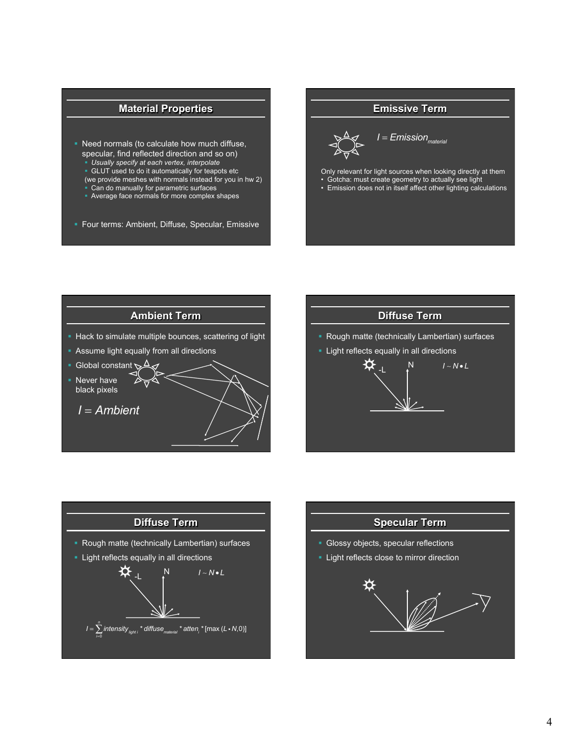## **Material Properties**

- § Need normals (to calculate how much diffuse, specular, find reflected direction and so on)
	- § *Usually specify at each vertex, interpolate*
	- GLUT used to do it automatically for teapots etc
	- (we provide meshes with normals instead for you in hw 2) § Can do manually for parametric surfaces
	- § Average face normals for more complex shapes
- § Four terms: Ambient, Diffuse, Specular, Emissive

#### **Emissive Term**



 $I = E$ *mission*<sub>material</sub>

- Only relevant for light sources when looking directly at them
- Gotcha: must create geometry to actually see light
- Emission does not in itself affect other lighting calculations







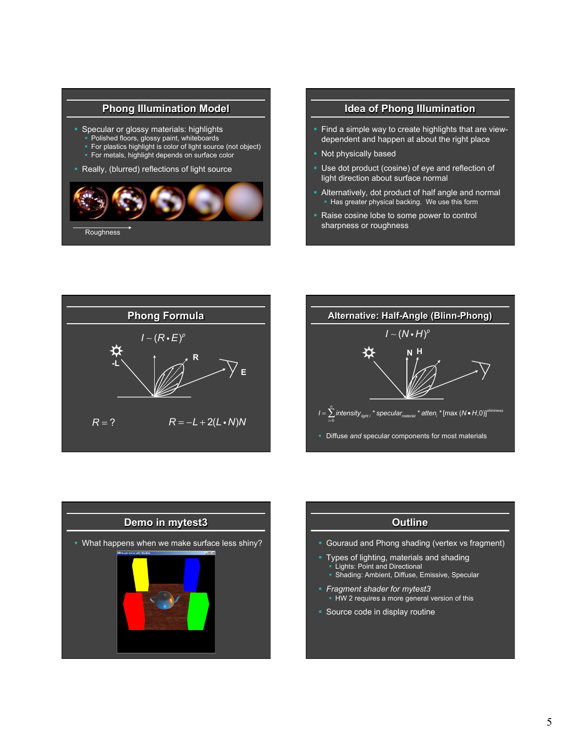### **Phong Illumination Model**

- § Specular or glossy materials: highlights
- Polished floors, glossy paint, whiteboards
- For plastics highlight is color of light source (not object)
- For metals, highlight depends on surface color
- Really, (blurred) reflections of light source



#### **Idea of Phong Illumination**

- Find a simple way to create highlights that are viewdependent and happen at about the right place
- § Not physically based
- § Use dot product (cosine) of eye and reflection of light direction about surface normal
- § Alternatively, dot product of half angle and normal • Has greater physical backing. We use this form
- Raise cosine lobe to some power to control sharpness or roughness







## **Outline**

- Gouraud and Phong shading (vertex vs fragment)
- § Types of lighting, materials and shading § Lights: Point and Directional ■ Shading: Ambient, Diffuse, Emissive, Specular
- § *Fragment shader for mytest3*
- **HW** 2 requires a more general version of this
- **Source code in display routine**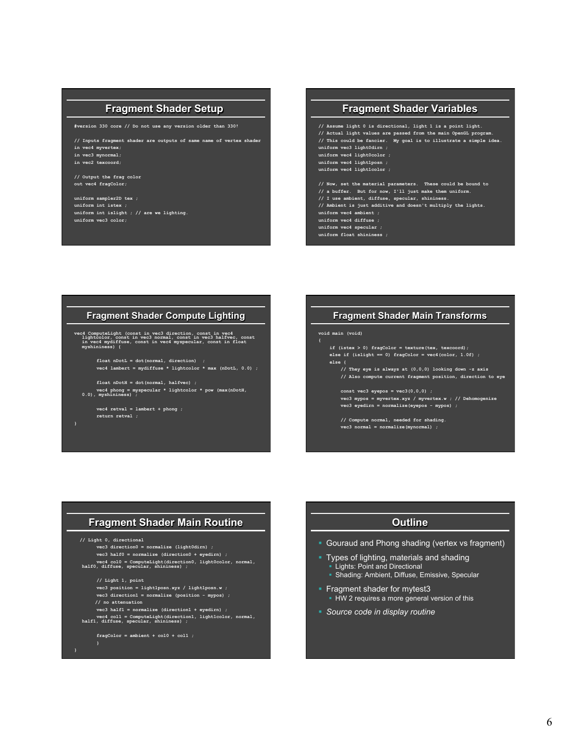#### **Fragment Shader Setup**

**#version 330 core // Do not use any version older than 330!** 

**// Inputs fragment shader are outputs of same name of vertex shader in vec4 myvertex;** 

- **in vec3 mynormal;**
- **in vec2 texcoord;**

**// Output the frag color out vec4 fragColor;** 

**uniform sampler2D tex ; uniform int istex ; uniform int islight ; // are we lighting. uniform vec3 color;** 

#### **Fragment Shader Variables**

```
// Assume light 0 is directional, light 1 is a point light. 
// Actual light values are passed from the main OpenGL program. 
// This could be fancier. My goal is to illustrate a simple idea. 
uniform vec3 light0dirn ; 
uniform vec4 light0color ; 
uniform vec4 light1posn ; 
uniform vec4 light1color ; 
// Now, set the material parameters. These could be bound to 
// a buffer. But for now, I'll just make them uniform. 
// I use ambient, diffuse, specular, shininess. 
// Ambient is just additive and doesn't multiply the lights. 
uniform vec4 ambient ; 
uniform vec4 diffuse ;
```
**uniform vec4 specular ; uniform float shininess ;** 

#### **Fragment Shader Compute Lighting**

**vec4 ComputeLight (const in vec3 direction, const in vec4 lightcolor, const in vec3 normal, const in vec3 halfvec, const in vec4 mydiffuse, const in vec4 myspecular, const in float myshininess) {** 

 **float nDotL = dot(normal, direction) ; vec4 lambert = mydiffuse \* lightcolor \* max (nDotL, 0.0) ;** 

 **float nDotH = dot(normal, halfvec) ; vec4 phong = myspecular \* lightcolor \* pow (max(nDotH, 0.0), myshininess) ;** 

 **vec4 retval = lambert + phong ; return retval ;** 

#### **Fragment Shader Main Transforms**

#### **void main (void)**

**{** 

 **if (istex > 0) fragColor = texture(tex, texcoord); else if (islight == 0) fragColor = vec4(color, 1.0f) ; else { // They eye is always at (0,0,0) looking down -z axis // Also compute current fragment position, direction to eye const vec3 eyepos = vec3(0,0,0) ; vec3 mypos = myvertex.xyz / myvertex.w ; // Dehomogenize vec3 eyedirn = normalize(eyepos - mypos) ;** 

> **// Compute normal, needed for shading. vec3 normal = normalize(mynormal) ;**

#### **Fragment Shader Main Routine**

 **// Light 0, directional** 

#### **vec3 direction0 = normalize (light0dirn) ;**

```
 vec3 half0 = normalize (direction0 + eyedirn) ; 
 vec4 col0 = ComputeLight(direction0, light0color, normal, half0, diffuse, specular, shininess) ;
```
 **// Light 1, point** 

 **vec3 position = light1posn.xyz / light1posn.w ; vec3 direction1 = normalize (position - mypos) ;** 

- **// no attenuation**
- 

 **vec3 half1 = normalize (direction1 + eyedirn) ; vec4 col1 = ComputeLight(direction1, light1color, normal, half1, diffuse, specular, shininess) ;** 

#### **fragColor = ambient + col0 + col1 ;**

**}** 

#### **Outline**

- Gouraud and Phong shading (vertex vs fragment)
- § Types of lighting, materials and shading Lights: Point and Directional
- § Shading: Ambient, Diffuse, Emissive, Specular
- **Fragment shader for mytest3 HW 2 requires a more general version of this**
- § *Source code in display routine*